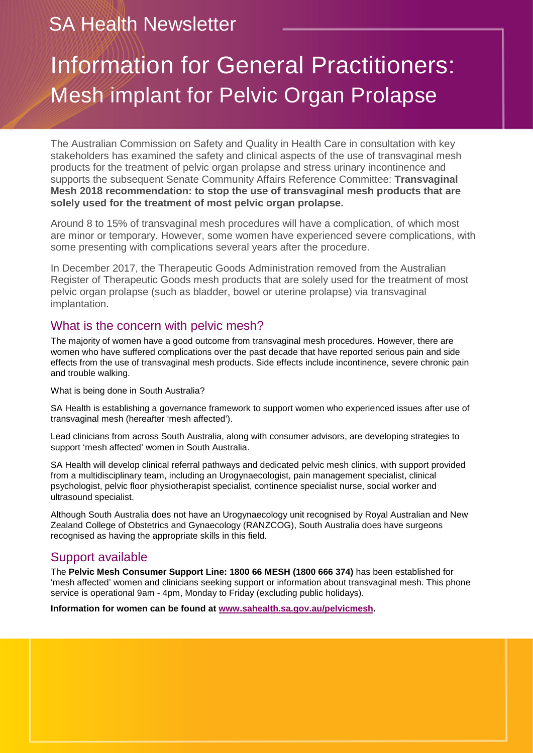# SA Health Newsletter

# Information for General Practitioners: Mesh implant for Pelvic Organ Prolapse

The Australian Commission on Safety and Quality in Health Care in consultation with key stakeholders has examined the safety and clinical aspects of the use of transvaginal mesh products for the treatment of pelvic organ prolapse and stress urinary incontinence and supports the subsequent Senate Community Affairs Reference Committee: **Transvaginal Mesh 2018 recommendation: to stop the use of transvaginal mesh products that are solely used for the treatment of most pelvic organ prolapse.**

Around 8 to 15% of transvaginal mesh procedures will have a complication, of which most are minor or temporary. However, some women have experienced severe complications, with some presenting with complications several years after the procedure.

In December 2017, the Therapeutic Goods Administration removed from the Australian Register of Therapeutic Goods mesh products that are solely used for the treatment of most pelvic organ prolapse (such as bladder, bowel or uterine prolapse) via transvaginal implantation.

### What is the concern with pelvic mesh?

The majority of women have a good outcome from transvaginal mesh procedures. However, there are women who have suffered complications over the past decade that have [reported serious pain and side](http://www.abc.net.au/news/2017-05-31/more-women-mesh-implant-side-effects-than-thought-experts-say/8572840)  [effects](http://www.abc.net.au/news/2017-05-31/more-women-mesh-implant-side-effects-than-thought-experts-say/8572840) from the use of transvaginal mesh products. Side effects include incontinence, severe chronic pain and trouble walking.

What is being done in South Australia?

SA Health is establishing a governance framework to support women who experienced issues after use of transvaginal mesh (hereafter 'mesh affected').

Lead clinicians from across South Australia, along with consumer advisors, are developing strategies to support 'mesh affected' women in South Australia.

SA Health will develop clinical referral pathways and dedicated pelvic mesh clinics, with support provided from a multidisciplinary team, including an Urogynaecologist, pain management specialist, clinical psychologist, pelvic floor physiotherapist specialist, continence specialist nurse, social worker and ultrasound specialist.

Although South Australia does not have an Urogynaecology unit recognised by Royal Australian and New Zealand College of Obstetrics and Gynaecology (RANZCOG), South Australia does have surgeons recognised as having the appropriate skills in this field.

### Support available

The **Pelvic Mesh Consumer Support Line: 1800 66 MESH (1800 666 374)** has been established for 'mesh affected' women and clinicians seeking support or information about transvaginal mesh. This phone service is operational 9am - 4pm, Monday to Friday (excluding public holidays).

**Information for women can be found at www.sahealth.sa.gov.au/pelvicmesh.**